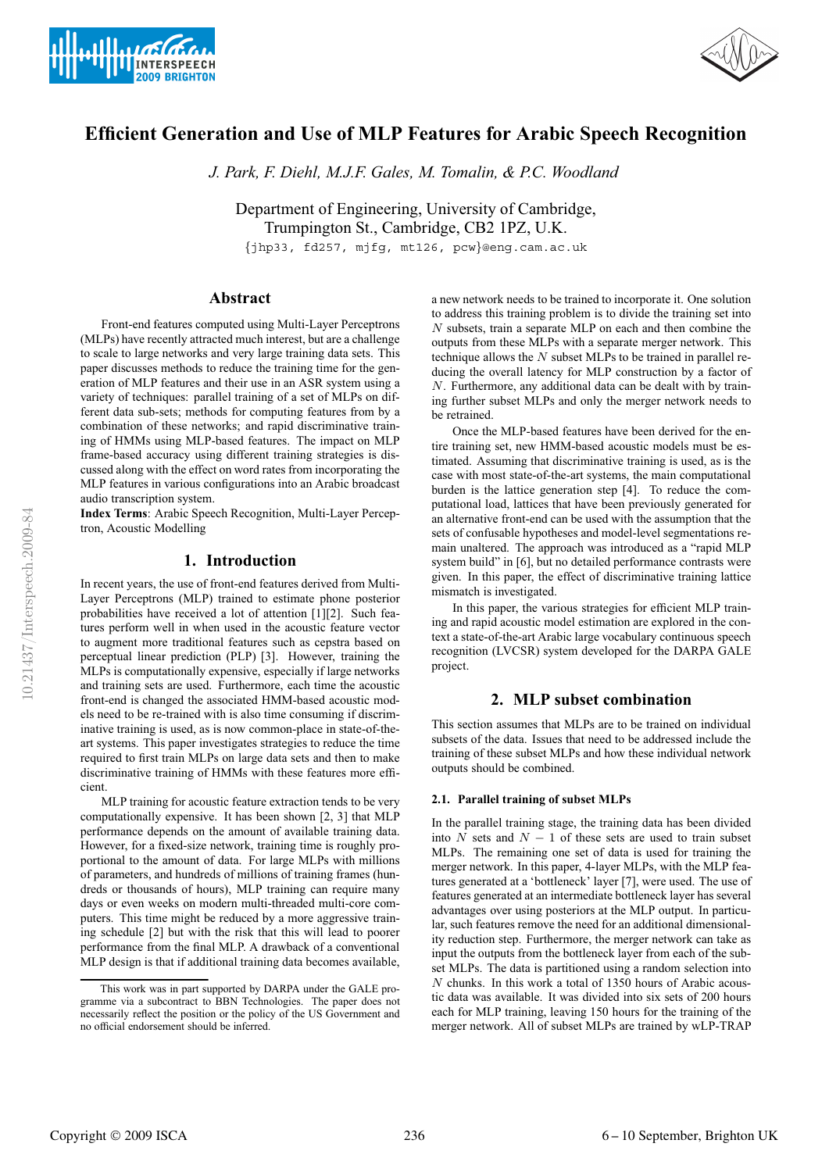



# **Efficient Generation and Use of MLP Features for Arabic Speech Recognition**

*J. Park, F. Diehl, M.J.F. Gales, M. Tomalin, & P.C. Woodland*

Department of Engineering, University of Cambridge, Trumpington St., Cambridge, CB2 1PZ, U.K.

{jhp33, fd257, mjfg, mt126, pcw}@eng.cam.ac.uk

# **Abstract**

Front-end features computed using Multi-Layer Perceptrons (MLPs) have recently attracted much interest, but are a challenge to scale to large networks and very large training data sets. This paper discusses methods to reduce the training time for the generation of MLP features and their use in an ASR system using a variety of techniques: parallel training of a set of MLPs on different data sub-sets; methods for computing features from by a combination of these networks; and rapid discriminative training of HMMs using MLP-based features. The impact on MLP frame-based accuracy using different training strategies is discussed along with the effect on word rates from incorporating the MLP features in various configurations into an Arabic broadcast audio transcription system.

**Index Terms**: Arabic Speech Recognition, Multi-Layer Perceptron, Acoustic Modelling

# **1. Introduction**

In recent years, the use of front-end features derived from Multi-Layer Perceptrons (MLP) trained to estimate phone posterior probabilities have received a lot of attention [1][2]. Such features perform well in when used in the acoustic feature vector to augment more traditional features such as cepstra based on perceptual linear prediction (PLP) [3]. However, training the MLPs is computationally expensive, especially if large networks and training sets are used. Furthermore, each time the acoustic front-end is changed the associated HMM-based acoustic models need to be re-trained with is also time consuming if discriminative training is used, as is now common-place in state-of-theart systems. This paper investigates strategies to reduce the time required to first train MLPs on large data sets and then to make discriminative training of HMMs with these features more efficient.

MLP training for acoustic feature extraction tends to be very computationally expensive. It has been shown [2, 3] that MLP performance depends on the amount of available training data. However, for a fixed-size network, training time is roughly proportional to the amount of data. For large MLPs with millions of parameters, and hundreds of millions of training frames (hundreds or thousands of hours), MLP training can require many days or even weeks on modern multi-threaded multi-core computers. This time might be reduced by a more aggressive training schedule [2] but with the risk that this will lead to poorer performance from the final MLP. A drawback of a conventional MLP design is that if additional training data becomes available,

a new network needs to be trained to incorporate it. One solution to address this training problem is to divide the training set into N subsets, train a separate MLP on each and then combine the outputs from these MLPs with a separate merger network. This technique allows the  $N$  subset MLPs to be trained in parallel reducing the overall latency for MLP construction by a factor of N. Furthermore, any additional data can be dealt with by training further subset MLPs and only the merger network needs to be retrained.

Once the MLP-based features have been derived for the entire training set, new HMM-based acoustic models must be estimated. Assuming that discriminative training is used, as is the case with most state-of-the-art systems, the main computational burden is the lattice generation step [4]. To reduce the computational load, lattices that have been previously generated for an alternative front-end can be used with the assumption that the sets of confusable hypotheses and model-level segmentations remain unaltered. The approach was introduced as a "rapid MLP system build" in [6], but no detailed performance contrasts were given. In this paper, the effect of discriminative training lattice mismatch is investigated.

In this paper, the various strategies for efficient MLP training and rapid acoustic model estimation are explored in the context a state-of-the-art Arabic large vocabulary continuous speech recognition (LVCSR) system developed for the DARPA GALE project.

# **2. MLP subset combination**

This section assumes that MLPs are to be trained on individual subsets of the data. Issues that need to be addressed include the training of these subset MLPs and how these individual network outputs should be combined.

## **2.1. Parallel training of subset MLPs**

In the parallel training stage, the training data has been divided into N sets and  $N - 1$  of these sets are used to train subset MLPs. The remaining one set of data is used for training the merger network. In this paper, 4-layer MLPs, with the MLP features generated at a 'bottleneck' layer [7], were used. The use of features generated at an intermediate bottleneck layer has several advantages over using posteriors at the MLP output. In particular, such features remove the need for an additional dimensionality reduction step. Furthermore, the merger network can take as input the outputs from the bottleneck layer from each of the subset MLPs. The data is partitioned using a random selection into N chunks. In this work a total of 1350 hours of Arabic acoustic data was available. It was divided into six sets of 200 hours each for MLP training, leaving 150 hours for the training of the merger network. All of subset MLPs are trained by wLP-TRAP

This work was in part supported by DARPA under the GALE programme via a subcontract to BBN Technologies. The paper does not necessarily reflect the position or the policy of the US Government and no official endorsement should be inferred.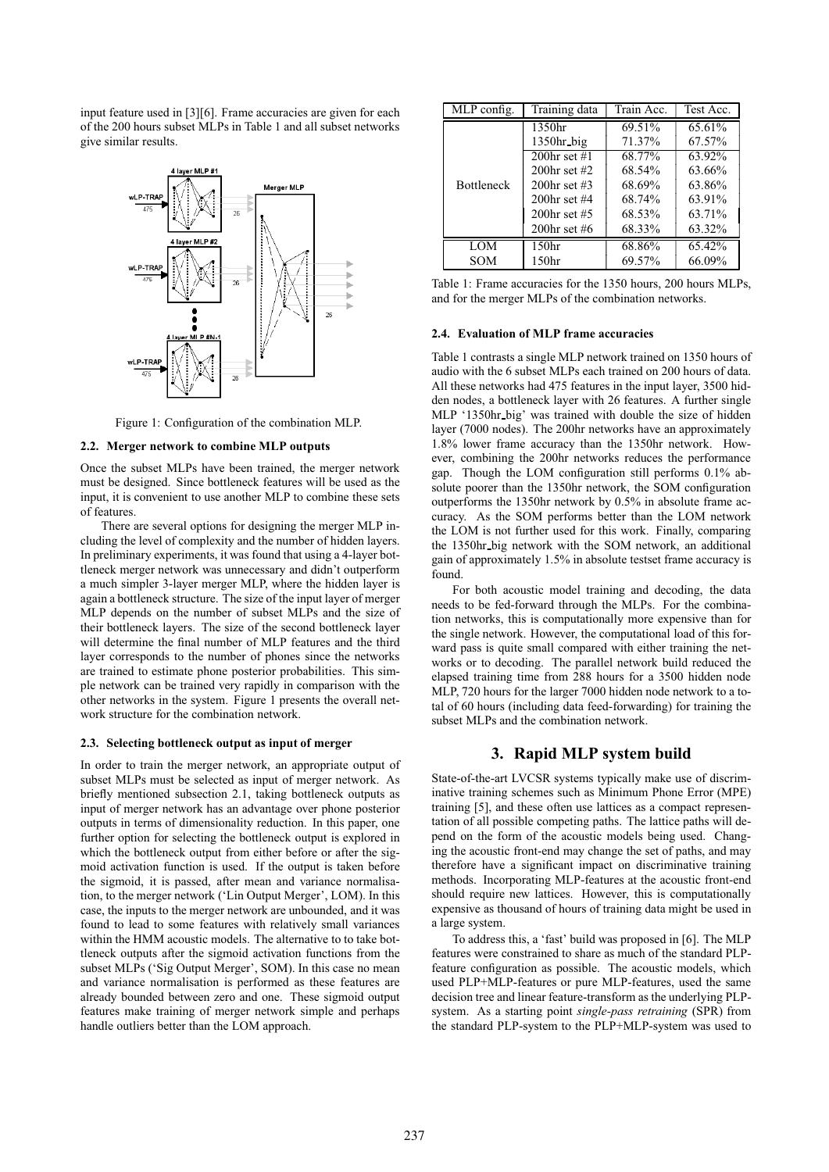input feature used in [3][6]. Frame accuracies are given for each of the 200 hours subset MLPs in Table 1 and all subset networks give similar results.



Figure 1: Configuration of the combination MLP.

## **2.2. Merger network to combine MLP outputs**

Once the subset MLPs have been trained, the merger network must be designed. Since bottleneck features will be used as the input, it is convenient to use another MLP to combine these sets of features.

There are several options for designing the merger MLP including the level of complexity and the number of hidden layers. In preliminary experiments, it was found that using a 4-layer bottleneck merger network was unnecessary and didn't outperform a much simpler 3-layer merger MLP, where the hidden layer is again a bottleneck structure. The size of the input layer of merger MLP depends on the number of subset MLPs and the size of their bottleneck layers. The size of the second bottleneck layer will determine the final number of MLP features and the third layer corresponds to the number of phones since the networks are trained to estimate phone posterior probabilities. This simple network can be trained very rapidly in comparison with the other networks in the system. Figure 1 presents the overall network structure for the combination network.

## **2.3. Selecting bottleneck output as input of merger**

In order to train the merger network, an appropriate output of subset MLPs must be selected as input of merger network. As briefly mentioned subsection 2.1, taking bottleneck outputs as input of merger network has an advantage over phone posterior outputs in terms of dimensionality reduction. In this paper, one further option for selecting the bottleneck output is explored in which the bottleneck output from either before or after the sigmoid activation function is used. If the output is taken before the sigmoid, it is passed, after mean and variance normalisation, to the merger network ('Lin Output Merger', LOM). In this case, the inputs to the merger network are unbounded, and it was found to lead to some features with relatively small variances within the HMM acoustic models. The alternative to to take bottleneck outputs after the sigmoid activation functions from the subset MLPs ('Sig Output Merger', SOM). In this case no mean and variance normalisation is performed as these features are already bounded between zero and one. These sigmoid output features make training of merger network simple and perhaps handle outliers better than the LOM approach.

| MLP config.       | Training data     | Train Acc. | Test Acc. |
|-------------------|-------------------|------------|-----------|
|                   | 1350hr            | 69.51%     | 65.61%    |
|                   | $1350hr$ big      | 71.37%     | 67.57%    |
|                   | 200hr set $#1$    | 68.77%     | 63.92%    |
|                   | 200hr set $#2$    | 68.54%     | 63.66%    |
| <b>Bottleneck</b> | 200hr set $\#3$   | 68.69%     | 63.86%    |
|                   | 200hr set $#4$    | 68.74%     | 63.91%    |
|                   | 200hr set $#5$    | 68.53%     | 63.71%    |
|                   | 200hr set #6      | 68.33%     | 63.32%    |
| <b>LOM</b>        | 150 <sub>hr</sub> | 68.86%     | 65.42%    |
| SOM               | 150 <sub>hr</sub> | 69.57%     | 66.09%    |

Table 1: Frame accuracies for the 1350 hours, 200 hours MLPs, and for the merger MLPs of the combination networks.

## **2.4. Evaluation of MLP frame accuracies**

Table 1 contrasts a single MLP network trained on 1350 hours of audio with the 6 subset MLPs each trained on 200 hours of data. All these networks had 475 features in the input layer, 3500 hidden nodes, a bottleneck layer with 26 features. A further single MLP '1350hr big' was trained with double the size of hidden layer (7000 nodes). The 200hr networks have an approximately 1.8% lower frame accuracy than the 1350hr network. However, combining the 200hr networks reduces the performance gap. Though the LOM configuration still performs 0.1% absolute poorer than the 1350hr network, the SOM configuration outperforms the 1350hr network by 0.5% in absolute frame accuracy. As the SOM performs better than the LOM network the LOM is not further used for this work. Finally, comparing the 1350hr big network with the SOM network, an additional gain of approximately 1.5% in absolute testset frame accuracy is found.

For both acoustic model training and decoding, the data needs to be fed-forward through the MLPs. For the combination networks, this is computationally more expensive than for the single network. However, the computational load of this forward pass is quite small compared with either training the networks or to decoding. The parallel network build reduced the elapsed training time from 288 hours for a 3500 hidden node MLP, 720 hours for the larger 7000 hidden node network to a total of 60 hours (including data feed-forwarding) for training the subset MLPs and the combination network.

## **3. Rapid MLP system build**

State-of-the-art LVCSR systems typically make use of discriminative training schemes such as Minimum Phone Error (MPE) training [5], and these often use lattices as a compact representation of all possible competing paths. The lattice paths will depend on the form of the acoustic models being used. Changing the acoustic front-end may change the set of paths, and may therefore have a significant impact on discriminative training methods. Incorporating MLP-features at the acoustic front-end should require new lattices. However, this is computationally expensive as thousand of hours of training data might be used in a large system.

To address this, a 'fast' build was proposed in [6]. The MLP features were constrained to share as much of the standard PLPfeature configuration as possible. The acoustic models, which used PLP+MLP-features or pure MLP-features, used the same decision tree and linear feature-transform as the underlying PLPsystem. As a starting point *single-pass retraining* (SPR) from the standard PLP-system to the PLP+MLP-system was used to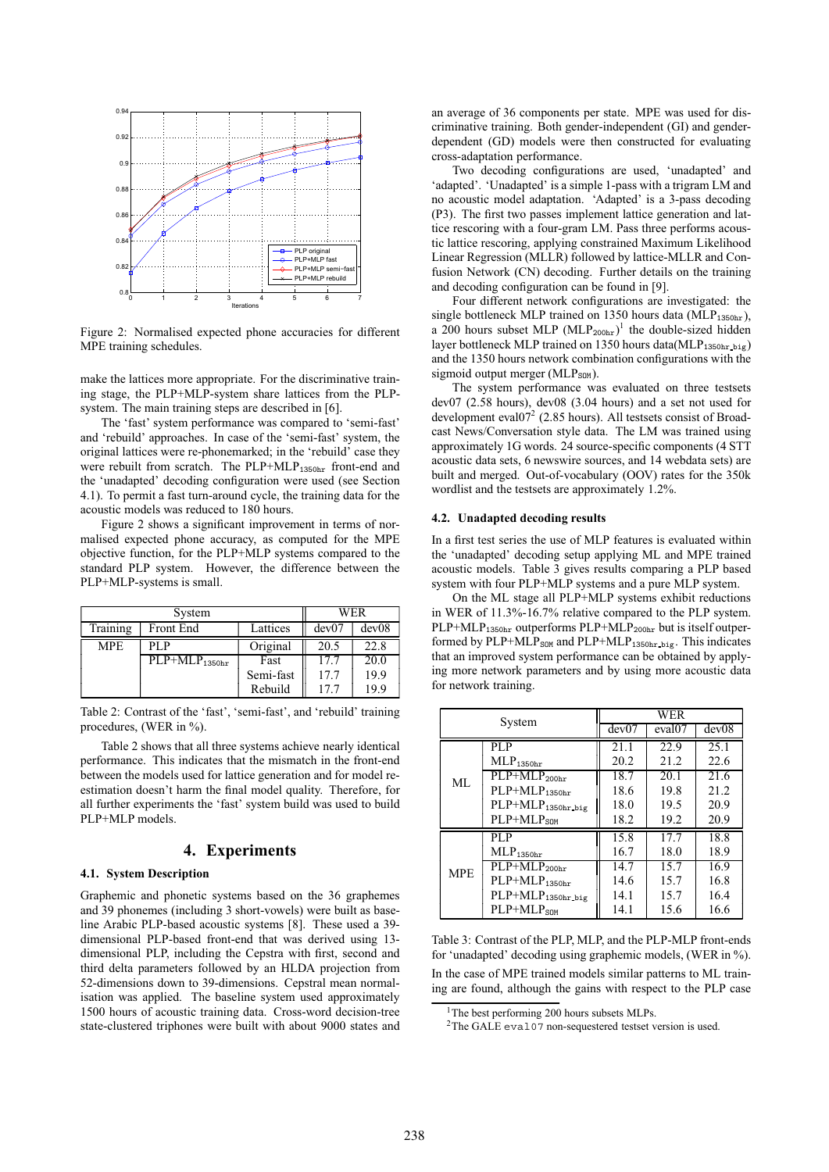

Figure 2: Normalised expected phone accuracies for different MPE training schedules.

make the lattices more appropriate. For the discriminative training stage, the PLP+MLP-system share lattices from the PLPsystem. The main training steps are described in [6].

The 'fast' system performance was compared to 'semi-fast' and 'rebuild' approaches. In case of the 'semi-fast' system, the original lattices were re-phonemarked; in the 'rebuild' case they were rebuilt from scratch. The PLP+MLP<sub>1350hr</sub> front-end and the 'unadapted' decoding configuration were used (see Section 4.1). To permit a fast turn-around cycle, the training data for the acoustic models was reduced to 180 hours.

Figure 2 shows a significant improvement in terms of normalised expected phone accuracy, as computed for the MPE objective function, for the PLP+MLP systems compared to the standard PLP system. However, the difference between the PLP+MLP-systems is small.

| System     |                             |           | WER   |       |
|------------|-----------------------------|-----------|-------|-------|
| Training   | Front End                   | Lattices  | dev07 | dev08 |
| <b>MPE</b> | PL P                        | Original  | 20.5  | 22.8  |
|            | $PLP+MLP$ <sub>1350hr</sub> | Fast      | 17.7  | 20.0  |
|            |                             | Semi-fast | 17.7  | 19.9  |
|            |                             | Rebuild   | 17.7  | 19.9  |

Table 2: Contrast of the 'fast', 'semi-fast', and 'rebuild' training procedures, (WER in %).

Table 2 shows that all three systems achieve nearly identical performance. This indicates that the mismatch in the front-end between the models used for lattice generation and for model reestimation doesn't harm the final model quality. Therefore, for all further experiments the 'fast' system build was used to build PLP+MLP models.

# **4. Experiments**

#### **4.1. System Description**

Graphemic and phonetic systems based on the 36 graphemes and 39 phonemes (including 3 short-vowels) were built as baseline Arabic PLP-based acoustic systems [8]. These used a 39 dimensional PLP-based front-end that was derived using 13 dimensional PLP, including the Cepstra with first, second and third delta parameters followed by an HLDA projection from 52-dimensions down to 39-dimensions. Cepstral mean normalisation was applied. The baseline system used approximately 1500 hours of acoustic training data. Cross-word decision-tree state-clustered triphones were built with about 9000 states and an average of 36 components per state. MPE was used for discriminative training. Both gender-independent (GI) and genderdependent (GD) models were then constructed for evaluating cross-adaptation performance.

Two decoding configurations are used, 'unadapted' and 'adapted'. 'Unadapted' is a simple 1-pass with a trigram LM and no acoustic model adaptation. 'Adapted' is a 3-pass decoding (P3). The first two passes implement lattice generation and lattice rescoring with a four-gram LM. Pass three performs acoustic lattice rescoring, applying constrained Maximum Likelihood Linear Regression (MLLR) followed by lattice-MLLR and Confusion Network (CN) decoding. Further details on the training and decoding configuration can be found in [9].

Four different network configurations are investigated: the single bottleneck MLP trained on 1350 hours data (MLP<sub>1350hr</sub>), a 200 hours subset MLP  $(MLP_{200hr})^1$  the double-sized hidden layer bottleneck MLP trained on 1350 hours data(MLP<sub>1350hr</sub> big) and the 1350 hours network combination configurations with the sigmoid output merger (MLP<sub>SOM</sub>).

The system performance was evaluated on three testsets dev07 (2.58 hours), dev08 (3.04 hours) and a set not used for development eval07<sup>2</sup> (2.85 hours). All testsets consist of Broadcast News/Conversation style data. The LM was trained using approximately 1G words. 24 source-specific components (4 STT acoustic data sets, 6 newswire sources, and 14 webdata sets) are built and merged. Out-of-vocabulary (OOV) rates for the 350k wordlist and the testsets are approximately 1.2%.

#### **4.2. Unadapted decoding results**

In a first test series the use of MLP features is evaluated within the 'unadapted' decoding setup applying ML and MPE trained acoustic models. Table 3 gives results comparing a PLP based system with four PLP+MLP systems and a pure MLP system.

On the ML stage all PLP+MLP systems exhibit reductions in WER of 11.3%-16.7% relative compared to the PLP system.  $PLP+MLP_{1350hr}$  outperforms  $PLP+MLP_{200hr}$  but is itself outperformed by PLP+MLP $_{\text{SOM}}$  and PLP+MLP<sub>1350hr</sub> big. This indicates that an improved system performance can be obtained by applying more network parameters and by using more acoustic data for network training.

| System     |                                            | WER   |                    |       |  |
|------------|--------------------------------------------|-------|--------------------|-------|--|
|            |                                            | dev07 | eval <sub>07</sub> | dev08 |  |
|            | PL P                                       | 21.1  | 22.9               | 25.1  |  |
| ML         | MLP <sub>1350hr</sub>                      | 20.2  | 21.2               | 22.6  |  |
|            | $\overline{\text{PLP+MLP}_{200\text{hr}}}$ | 18.7  | 20.1               | 21.6  |  |
|            | $PLP+MLP_{1350hr}$                         | 18.6  | 19.8               | 21.2. |  |
|            | $PLP+MLP$ 1350hr_big                       | 18.0  | 19.5               | 20.9  |  |
|            | $PLP+MLPSOM$                               | 18.2  | 19.2               | 20.9  |  |
| <b>MPE</b> | PL P                                       | 15.8  | 17.7               | 18.8  |  |
|            | MLP <sub>1350hr</sub>                      | 16.7  | 18.0               | 18.9  |  |
|            | $\overline{\text{PLP+MLP}_{200\text{hr}}}$ | 14.7  | 15.7               | 16.9  |  |
|            | $PLP+MLP_{1350hr}$                         | 14.6  | 15.7               | 16.8  |  |
|            | PLP+MLP <sub>1350hr_big</sub>              | 14.1  | 15.7               | 16.4  |  |
|            | $PLP+MLP$ <sub>SOM</sub>                   | 14.1  | 15.6               | 16.6  |  |

Table 3: Contrast of the PLP, MLP, and the PLP-MLP front-ends for 'unadapted' decoding using graphemic models, (WER in %). In the case of MPE trained models similar patterns to ML training are found, although the gains with respect to the PLP case

<sup>&</sup>lt;sup>1</sup>The best performing 200 hours subsets MLPs.

<sup>2</sup>The GALE eval07 non-sequestered testset version is used.